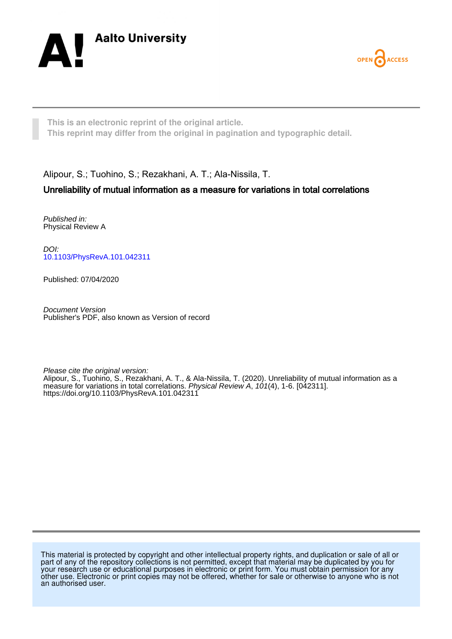



**This is an electronic reprint of the original article. This reprint may differ from the original in pagination and typographic detail.**

Alipour, S.; Tuohino, S.; Rezakhani, A. T.; Ala-Nissila, T.

# Unreliability of mutual information as a measure for variations in total correlations

Published in: Physical Review A

DOI: [10.1103/PhysRevA.101.042311](https://doi.org/10.1103/PhysRevA.101.042311)

Published: 07/04/2020

Document Version Publisher's PDF, also known as Version of record

Please cite the original version:

Alipour, S., Tuohino, S., Rezakhani, A. T., & Ala-Nissila, T. (2020). Unreliability of mutual information as a measure for variations in total correlations. Physical Review A, 101(4), 1-6. [042311]. <https://doi.org/10.1103/PhysRevA.101.042311>

This material is protected by copyright and other intellectual property rights, and duplication or sale of all or part of any of the repository collections is not permitted, except that material may be duplicated by you for your research use or educational purposes in electronic or print form. You must obtain permission for any other use. Electronic or print copies may not be offered, whether for sale or otherwise to anyone who is not an authorised user.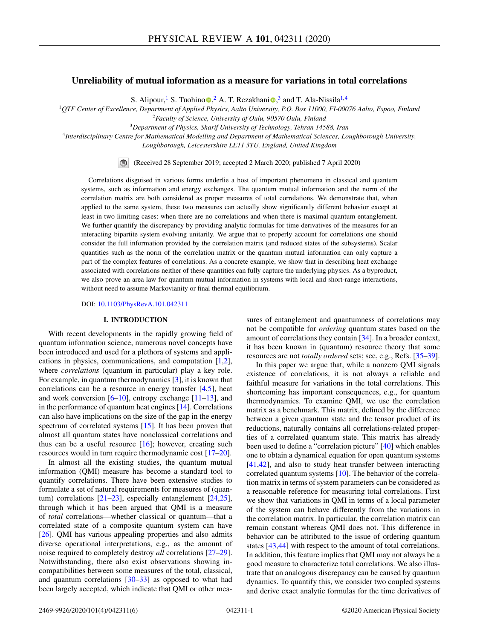### **Unreliability of mutual information as a measure for variations in total correlations**

S. Alip[o](https://orcid.org/0000-0001-7257-7245)ur[,](https://orcid.org/0000-0002-8598-8315)<sup>1</sup> S. Tuohino  $\bullet$ , <sup>2</sup> A. T. Rezakhani  $\bullet$ , <sup>3</sup> and T. Ala-Nissila<sup>1,4</sup>

<sup>1</sup>*QTF Center of Excellence, Department of Applied Physics, Aalto University, P.O. Box 11000, FI-00076 Aalto, Espoo, Finland* <sup>2</sup>*Faculty of Science, University of Oulu, 90570 Oulu, Finland*

<sup>3</sup>*Department of Physics, Sharif University of Technology, Tehran 14588, Iran*

<sup>4</sup>*Interdisciplinary Centre for Mathematical Modelling and Department of Mathematical Sciences, Loughborough University,*

*Loughborough, Leicestershire LE11 3TU, England, United Kingdom*



(Received 28 September 2019; accepted 2 March 2020; published 7 April 2020)

Correlations disguised in various forms underlie a host of important phenomena in classical and quantum systems, such as information and energy exchanges. The quantum mutual information and the norm of the correlation matrix are both considered as proper measures of total correlations. We demonstrate that, when applied to the same system, these two measures can actually show significantly different behavior except at least in two limiting cases: when there are no correlations and when there is maximal quantum entanglement. We further quantify the discrepancy by providing analytic formulas for time derivatives of the measures for an interacting bipartite system evolving unitarily. We argue that to properly account for correlations one should consider the full information provided by the correlation matrix (and reduced states of the subsystems). Scalar quantities such as the norm of the correlation matrix or the quantum mutual information can only capture a part of the complex features of correlations. As a concrete example, we show that in describing heat exchange associated with correlations neither of these quantities can fully capture the underlying physics. As a byproduct, we also prove an area law for quantum mutual information in systems with local and short-range interactions, without need to assume Markovianity or final thermal equilibrium.

DOI: [10.1103/PhysRevA.101.042311](https://doi.org/10.1103/PhysRevA.101.042311)

### **I. INTRODUCTION**

With recent developments in the rapidly growing field of quantum information science, numerous novel concepts have been introduced and used for a plethora of systems and applications in physics, communications, and computation [\[1,2\]](#page-5-0), where *correlations* (quantum in particular) play a key role. For example, in quantum thermodynamics [\[3\]](#page-5-0), it is known that correlations can be a resource in energy transfer [\[4,5\]](#page-5-0), heat and work conversion  $[6–10]$  $[6–10]$ , entropy exchange  $[11–13]$ , and in the performance of quantum heat engines [\[14\]](#page-6-0). Correlations can also have implications on the size of the gap in the energy spectrum of correlated systems [\[15\]](#page-6-0). It has been proven that almost all quantum states have nonclassical correlations and thus can be a useful resource [\[16\]](#page-6-0); however, creating such resources would in turn require thermodynamic cost [\[17–20\]](#page-6-0).

In almost all the existing studies, the quantum mutual information (QMI) measure has become a standard tool to quantify correlations. There have been extensive studies to formulate a set of natural requirements for measures of (quantum) correlations [\[21–23\]](#page-6-0), especially entanglement [\[24,25\]](#page-6-0), through which it has been argued that QMI is a measure of *total* correlations—whether classical or quantum—that a correlated state of a composite quantum system can have [\[26\]](#page-6-0). QMI has various appealing properties and also admits diverse operational interpretations, e.g., as the amount of noise required to completely destroy *all* correlations [\[27–29\]](#page-6-0). Notwithstanding, there also exist observations showing incompatibilities between some measures of the total, classical, and quantum correlations  $[30-33]$  as opposed to what had been largely accepted, which indicate that QMI or other measures of entanglement and quantumness of correlations may not be compatible for *ordering* quantum states based on the amount of correlations they contain [\[34\]](#page-6-0). In a broader context, it has been known in (quantum) resource theory that some resources are not *totally ordered* sets; see, e.g., Refs. [\[35–39\]](#page-6-0).

In this paper we argue that, while a nonzero QMI signals existence of correlations, it is not always a reliable and faithful measure for variations in the total correlations. This shortcoming has important consequences, e.g., for quantum thermodynamics. To examine QMI, we use the correlation matrix as a benchmark. This matrix, defined by the difference between a given quantum state and the tensor product of its reductions, naturally contains all correlations-related properties of a correlated quantum state. This matrix has already been used to define a "correlation picture" [\[40\]](#page-6-0) which enables one to obtain a dynamical equation for open quantum systems [\[41,42\]](#page-6-0), and also to study heat transfer between interacting correlated quantum systems [\[10\]](#page-6-0). The behavior of the correlation matrix in terms of system parameters can be considered as a reasonable reference for measuring total correlations. First we show that variations in QMI in terms of a local parameter of the system can behave differently from the variations in the correlation matrix. In particular, the correlation matrix can remain constant whereas QMI does not. This difference in behavior can be attributed to the issue of ordering quantum states [\[43,44\]](#page-6-0) with respect to the amount of total correlations. In addition, this feature implies that QMI may not always be a good measure to characterize total correlations. We also illustrate that an analogous discrepancy can be caused by quantum dynamics. To quantify this, we consider two coupled systems and derive exact analytic formulas for the time derivatives of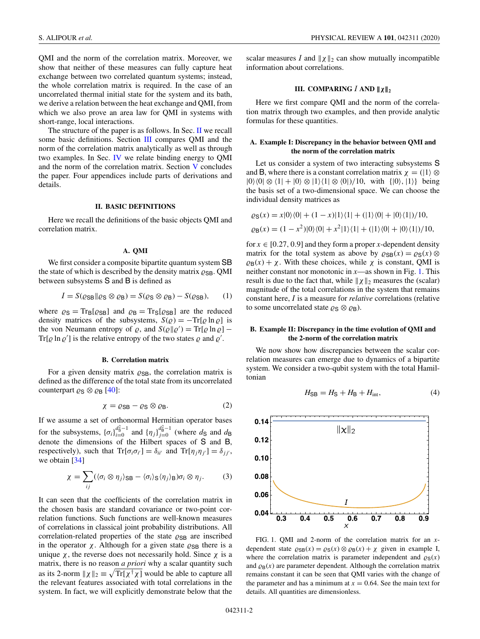<span id="page-2-0"></span>QMI and the norm of the correlation matrix. Moreover, we show that neither of these measures can fully capture heat exchange between two correlated quantum systems; instead, the whole correlation matrix is required. In the case of an uncorrelated thermal initial state for the system and its bath, we derive a relation between the heat exchange and QMI, from which we also prove an area law for QMI in systems with short-range, local interactions.

The structure of the paper is as follows. In Sec. II we recall some basic definitions. Section III compares QMI and the norm of the correlation matrix analytically as well as through two examples. In Sec. [IV](#page-3-0) we relate binding energy to QMI and the norm of the correlation matrix. Section [V](#page-4-0) concludes the paper. Four appendices include parts of derivations and details.

#### **II. BASIC DEFINITIONS**

Here we recall the definitions of the basic objects QMI and correlation matrix.

#### **A. QMI**

We first consider a composite bipartite quantum system SB the state of which is described by the density matrix  $\varrho_{SB}$ . QMI between subsystems S and B is defined as

$$
I = S(\varrho_{\text{SB}} \| \varrho_{\text{S}} \otimes \varrho_{\text{B}}) = S(\varrho_{\text{S}} \otimes \varrho_{\text{B}}) - S(\varrho_{\text{SB}}), \qquad (1)
$$

where  $\varrho_S = Tr_B[\varrho_{SB}]$  and  $\varrho_B = Tr_S[\varrho_{SB}]$  are the reduced density matrices of the subsystems,  $S(\rho) = -\text{Tr}[\rho \ln \rho]$  is the von Neumann entropy of  $\rho$ , and  $S(\rho || \rho') = Tr[\rho ln \rho]$  – Tr[ $\varrho$  ln  $\varrho'$ ] is the relative entropy of the two states  $\varrho$  and  $\varrho'$ .

#### **B. Correlation matrix**

For a given density matrix  $\varrho_{SB}$ , the correlation matrix is defined as the difference of the total state from its uncorrelated counterpart  $\varrho_S \otimes \varrho_B$  [\[40\]](#page-6-0):

$$
\chi = \varrho_{\text{SB}} - \varrho_{\text{S}} \otimes \varrho_{\text{B}}.\tag{2}
$$

If we assume a set of orthonormal Hermitian operator bases for the subsystems,  ${\{\sigma_i\}}_{i=0}^{d_S^2-1}$  and  ${\{\eta_j\}}_{j=0}^{d_B^2-1}$  (where  $d_S$  and  $d_B$ denote the dimensions of the Hilbert spaces of S and B, respectively), such that  $\text{Tr}[\sigma_i \sigma_{i'}] = \delta_{ii'}$  and  $\text{Tr}[\eta_j \eta_{j'}] = \delta_{jj'}$ , we obtain [\[34\]](#page-6-0)

$$
\chi = \sum_{ij} (\langle \sigma_i \otimes \eta_j \rangle_{\text{SB}} - \langle \sigma_i \rangle_{\text{S}} \langle \eta_j \rangle_{\text{B}}) \sigma_i \otimes \eta_j. \tag{3}
$$

It can seen that the coefficients of the correlation matrix in the chosen basis are standard covariance or two-point correlation functions. Such functions are well-known measures of correlations in classical joint probability distributions. All correlation-related properties of the state  $\varrho_{SB}$  are inscribed in the operator  $\chi$ . Although for a given state  $\varrho_{SB}$  there is a unique  $\chi$ , the reverse does not necessarily hold. Since  $\chi$  is a matrix, there is no reason *a priori* why a scalar quantity such as its 2-norm  $||\chi||_2 \equiv \sqrt{\text{Tr}[\chi^{\dagger} \chi]}$  would be able to capture all the relevant features associated with total correlations in the system. In fact, we will explicitly demonstrate below that the

scalar measures I and  $|| \chi ||_2$  can show mutually incompatible information about correlations.

## **III.** COMPARING *I* AND  $||\chi||_2$

Here we first compare QMI and the norm of the correlation matrix through two examples, and then provide analytic formulas for these quantities.

### **A. Example I: Discrepancy in the behavior between QMI and the norm of the correlation matrix**

Let us consider a system of two interacting subsystems S and B, where there is a constant correlation matrix  $\chi = (1) \otimes$  $|0\rangle\langle 0| \otimes \langle 1| + |0\rangle \otimes |1\rangle\langle 1| \otimes \langle 0|)/10$ , with  $\{|0\rangle, |1\rangle\}$  being the basis set of a two-dimensional space. We can choose the individual density matrices as

$$
\varrho_{\mathbf{S}}(x) = x|0\rangle\langle 0| + (1 - x)|1\rangle\langle 1| + (|1\rangle\langle 0| + |0\rangle\langle 1|)/10,
$$
  

$$
\varrho_{\mathbf{B}}(x) = (1 - x^2)|0\rangle\langle 0| + x^2|1\rangle\langle 1| + (|1\rangle\langle 0| + |0\rangle\langle 1|)/10,
$$

for  $x \in [0.27, 0.9]$  and they form a proper *x*-dependent density matrix for the total system as above by  $\varrho_{SB}(x) = \varrho_S(x) \otimes$  $\varrho_{\rm B}(x) + \chi$ . With these choices, while  $\chi$  is constant, QMI is neither constant nor monotonic in *x*—as shown in Fig. 1. This result is due to the fact that, while  $|| \chi ||_2$  measures the (scalar) magnitude of the total correlations in the system that remains constant here,*I* is a measure for *relative* correlations (relative to some uncorrelated state  $\varrho_S \otimes \varrho_B$ ).

#### **B. Example II: Discrepancy in the time evolution of QMI and the 2-norm of the correlation matrix**

We now show how discrepancies between the scalar correlation measures can emerge due to dynamics of a bipartite system. We consider a two-qubit system with the total Hamiltonian

$$
H_{\rm SB} = H_{\rm S} + H_{\rm B} + H_{\rm int},\tag{4}
$$



FIG. 1. QMI and 2-norm of the correlation matrix for an *x*dependent state  $\varrho_{SB}(x) = \varrho_{S}(x) \otimes \varrho_{B}(x) + \chi$  given in example I, where the correlation matrix is parameter independent and  $\varrho_{\rm S}(x)$ and  $\varrho_B(x)$  are parameter dependent. Although the correlation matrix remains constant it can be seen that QMI varies with the change of the parameter and has a minimum at  $x = 0.64$ . See the main text for details. All quantities are dimensionless.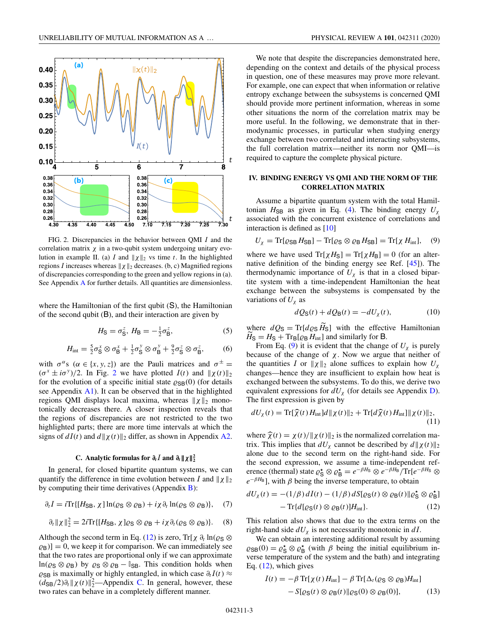<span id="page-3-0"></span>

FIG. 2. Discrepancies in the behavior between QMI *I* and the correlation matrix  $\chi$  in a two-qubit system undergoing unitary evolution in example II. (a) *I* and  $||\chi||_2$  vs time *t*. In the highlighted regions *I* increases whereas  $\|\chi\|_2$  decreases. (b, c) Magnified regions of discrepancies corresponding to the green and yellow regions in (a). See [A](#page-4-0)ppendix A for further details. All quantities are dimensionless.

where the Hamiltonian of the first qubit (S), the Hamiltonian of the second qubit (B), and their interaction are given by

$$
H_{\mathsf{S}} = \sigma_{\mathsf{S}}^z, H_{\mathsf{B}} = -\frac{1}{2}\sigma_{\mathsf{B}}^z,\tag{5}
$$

$$
H_{\text{int}} = \frac{5}{2}\sigma_S^x \otimes \sigma_B^x + \frac{1}{2}\sigma_S^y \otimes \sigma_B^y + \frac{9}{2}\sigma_S^z \otimes \sigma_B^z, \qquad (6)
$$

with  $\sigma^{\alpha}$ s ( $\alpha \in \{x, y, z\}$ ) are the Pauli matrices and  $\sigma^{\pm}$  $(\sigma^x \pm i\sigma^y)/2$ . In Fig. 2 we have plotted  $I(t)$  and  $||\chi(t)||_2$ for the evolution of a specific initial state  $\varrho_{SB}(0)$  (for details see Appendix  $\overline{A1}$ ). It can be observed that in the highlighted regions QMI displays local maxima, whereas  $\|\chi\|_2$  monotonically decreases there. A closer inspection reveals that the regions of discrepancies are not restricted to the two highlighted parts; there are more time intervals at which the signs of  $dI(t)$  and  $d||\chi(t)||_2$  differ, as shown in Appendix [A2.](#page-5-0)

## **C.** Analytic formulas for  $\partial_t I$  and  $\partial_t || \chi||_2^2$

In general, for closed bipartite quantum systems, we can quantify the difference in time evolution between *I* and  $||\chi||_2$ by computing their time derivatives (Appendix [B\)](#page-5-0):

$$
\partial_t I = i \text{Tr}\{[H_{\text{SB}}, \chi] \ln(\varrho_{\text{S}} \otimes \varrho_{\text{B}}) + i \chi \partial_t \ln(\varrho_{\text{S}} \otimes \varrho_{\text{B}})\}, \quad (7)
$$

$$
\partial_t \|\chi\|_2^2 = 2i \text{Tr}\{[H_{\text{SB}}, \chi] \varrho_{\text{S}} \otimes \varrho_{\text{B}} + i \chi \partial_t (\varrho_{\text{S}} \otimes \varrho_{\text{B}})\}.
$$
 (8)

Although the second term in Eq. (12) is zero, Tr[ $\chi \partial_t \ln(\varrho_S \otimes$  $(\varrho_{\rm B})] = 0$ , we keep it for comparison. We can immediately see that the two rates are proportional only if we can approximate  $\ln(\varrho_S \otimes \varrho_B)$  by  $\varrho_S \otimes \varrho_B - \mathbb{I}_{SB}$ . This condition holds when  $\varrho_{SB}$  is maximally or highly entangled, in which case  $\partial_t I(t) \approx$  $(d_{SB}/2)\partial_t || \chi(t) ||_2^2$ —Appendix [C.](#page-5-0) In general, however, these two rates can behave in a completely different manner.

We note that despite the discrepancies demonstrated here, depending on the context and details of the physical process in question, one of these measures may prove more relevant. For example, one can expect that when information or relative entropy exchange between the subsystems is concerned QMI should provide more pertinent information, whereas in some other situations the norm of the correlation matrix may be more useful. In the following, we demonstrate that in thermodynamic processes, in particular when studying energy exchange between two correlated and interacting subsystems, the full correlation matrix—neither its norm nor QMI—is required to capture the complete physical picture.

#### **IV. BINDING ENERGY VS QMI AND THE NORM OF THE CORRELATION MATRIX**

Assume a bipartite quantum system with the total Hamiltonian  $H_{SB}$  as given in Eq. [\(4\)](#page-2-0). The binding energy  $U_{\gamma}$ associated with the concurrent existence of correlations and interaction is defined as [\[10\]](#page-6-0)

$$
U_{\chi} = \text{Tr}[\varrho_{\text{SB}} H_{\text{SB}}] - \text{Tr}[\varrho_{\text{S}} \otimes \varrho_{\text{B}} H_{\text{SB}}] = \text{Tr}[\chi H_{\text{int}}], \quad (9)
$$

where we have used  $Tr[\chi H_S] = Tr[\chi H_B] = 0$  (for an alternative definition of the binding energy see Ref. [\[45\]](#page-6-0)). The thermodynamic importance of  $U_{\chi}$  is that in a closed bipartite system with a time-independent Hamiltonian the heat exchange between the subsystems is compensated by the variations of  $U_{\chi}$  as

$$
dQ_{\mathbf{S}}(t) + dQ_{\mathbf{B}}(t) = -dU_{\chi}(t),\tag{10}
$$

where  $dQ_S = \text{Tr}[d\varrho_S H_S]$  with the effective Hamiltonian  $H_S = H_S + Tr_B[\varrho_B H_{int}]$  and similarly for B.

From Eq. (9) it is evident that the change of  $U_{\chi}$  is purely because of the change of  $\chi$ . Now we argue that neither of the quantities *I* or  $||\chi||_2$  alone suffices to explain how  $U_{\chi}$ changes—hence they are insufficient to explain how heat is exchanged between the subsystems. To do this, we derive two equivalent expressions for  $dU<sub>x</sub>$  (for details see Appendix [D\)](#page-5-0). The first expression is given by

$$
dU_{\chi}(t) = \text{Tr}[\widehat{\chi}(t) H_{\text{int}}]d\|\chi(t)\|_{2} + \text{Tr}[d\widehat{\chi}(t) H_{\text{int}}] \|\chi(t)\|_{2},
$$
\n(1)

where  $\hat{\chi}(t) = \chi(t)/\|\chi(t)\|_2$  is the normalized correlation matrix. This implies that  $dU$  cannot be described by  $d\|\chi(t)\|_2$ trix. This implies that  $dU_\chi$  cannot be described by  $d||\chi(t)||_2$ alone due to the second term on the right-hand side. For the second expression, we assume a time-independent reference (thermal) state  $\varrho_S^{\star} \otimes \varrho_B^{\star} = e^{-\beta H_S} \otimes e^{-\beta H_B} / \text{Tr}[e^{-\beta H_S} \otimes$  $e^{-\beta H_B}$ ], with  $\beta$  being the inverse temperature, to obtain

$$
dU_{\chi}(t) = -(1/\beta) dI(t) - (1/\beta) dS[\varrho_{\mathbf{S}}(t) \otimes \varrho_{\mathbf{B}}(t) || \varrho_{\mathbf{S}}^{\star} \otimes \varrho_{\mathbf{B}}^{\star}]
$$
  
- Tr{d[\varrho\_{\mathbf{S}}(t) \otimes \varrho\_{\mathbf{B}}(t)]H<sub>int</sub>}. (12)

This relation also shows that due to the extra terms on the right-hand side *dU*<sup>χ</sup> is not necessarily monotonic in *dI*.

We can obtain an interesting additional result by assuming  $\varrho_{\text{SB}}(0) = \varrho_{\text{S}}^{\star} \otimes \varrho_{\text{B}}^{\star}$  (with  $\beta$  being the initial equilibrium inverse temperature of the system and the bath) and integrating Eq. (12), which gives

$$
I(t) = -\beta \operatorname{Tr}[\chi(t) H_{\text{int}}] - \beta \operatorname{Tr}[\Delta_t(\varrho_S \otimes \varrho_B) H_{\text{int}}] - S[\varrho_S(t) \otimes \varrho_B(t) \| \varrho_S(0) \otimes \varrho_B(0)],
$$
(13)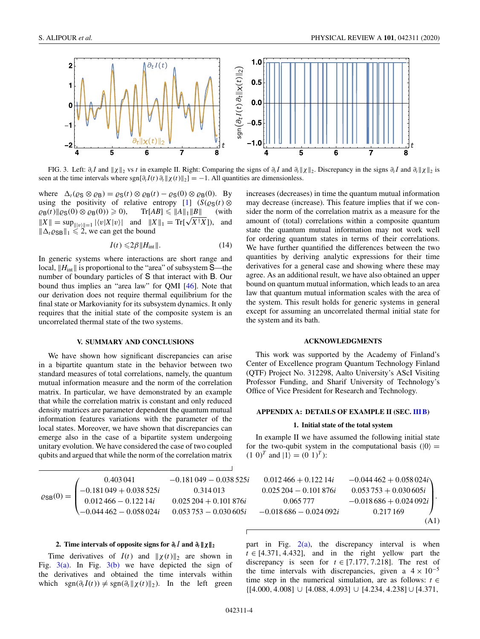<span id="page-4-0"></span>

FIG. 3. Left:  $\partial_t I$  and  $||\chi||_2$  vs *t* in example II. Right: Comparing the signs of  $\partial_t I$  and  $\partial_t ||\chi||_2$ . Discrepancy in the signs  $\partial_t I$  and  $\partial_t ||\chi||_2$  is seen at the time intervals where  $\text{sgn}[\partial_t I(t) \partial_t || \chi(t) ||_2] = -1$ . All quantities are dimensionless.

where  $\Delta_t ( \varrho_S \otimes \varrho_B ) = \varrho_S(t) \otimes \varrho_B(t) - \varrho_S(0) \otimes \varrho_B(0)$ . By using the positivity of relative entropy [\[1\]](#page-5-0)  $(S(\rho_S(t) \otimes$  $\varrho_{\mathsf{B}}(t)$ || $\varrho_{\mathsf{S}}(0) \otimes \varrho_{\mathsf{B}}(0)$ )  $\geq$  $\geqslant$  0), Tr[*AB*]  $\leqslant$  ||*A*||<sub>1</sub>||*B*|| (with  $\|X\| = \sup_{\|v\|=1} |\langle v|X|v\rangle|$  and  $\|X\|_1 = \text{Tr}[\sqrt{X^{\dagger}X}]$ , and  $\|\Delta_t \varrho_{\text{SB}}\|_1 \leq 2$ , we can get the bound

$$
I(t) \leqslant 2\beta \|H_{\text{int}}\|.\tag{14}
$$

In generic systems where interactions are short range and local,  $||H_{int}||$  is proportional to the "area" of subsystem  $S$ —the number of boundary particles of S that interact with B. Our bound thus implies an "area law" for QMI [\[46\]](#page-6-0). Note that our derivation does not require thermal equilibrium for the final state or Markovianity for its subsystem dynamics. It only requires that the initial state of the composite system is an uncorrelated thermal state of the two systems.

#### **V. SUMMARY AND CONCLUSIONS**

We have shown how significant discrepancies can arise in a bipartite quantum state in the behavior between two standard measures of total correlations, namely, the quantum mutual information measure and the norm of the correlation matrix. In particular, we have demonstrated by an example that while the correlation matrix is constant and only reduced density matrices are parameter dependent the quantum mutual information features variations with the parameter of the local states. Moreover, we have shown that discrepancies can emerge also in the case of a bipartite system undergoing unitary evolution. We have considered the case of two coupled qubits and argued that while the norm of the correlation matrix

increases (decreases) in time the quantum mutual information may decrease (increase). This feature implies that if we consider the norm of the correlation matrix as a measure for the amount of (total) correlations within a composite quantum state the quantum mutual information may not work well for ordering quantum states in terms of their correlations. We have further quantified the differences between the two quantities by deriving analytic expressions for their time derivatives for a general case and showing where these may agree. As an additional result, we have also obtained an upper bound on quantum mutual information, which leads to an area law that quantum mutual information scales with the area of the system. This result holds for generic systems in general except for assuming an uncorrelated thermal initial state for the system and its bath.

#### **ACKNOWLEDGMENTS**

This work was supported by the Academy of Finland's Center of Excellence program Quantum Technology Finland (QTF) Project No. 312298, Aalto University's AScI Visiting Professor Funding, and Sharif University of Technology's Office of Vice President for Research and Technology.

#### **APPENDIX A: DETAILS OF EXAMPLE II (SEC. [III B\)](#page-2-0)**

#### **1. Initial state of the total system**

In example II we have assumed the following initial state for the two-qubit system in the computational basis ( $|0\rangle$  =  $(1\ 0)^T$  and  $|1\rangle = (0\ 1)^T$ :

|                            | 0.403 041               | $-0.181049 - 0.038525i$ | $0.012466 + 0.12214i$   | $-0.044462 + 0.058024i$    |
|----------------------------|-------------------------|-------------------------|-------------------------|----------------------------|
| $\varrho_{\text{SB}}(0) =$ | $-0.181049 + 0.038525i$ | 0.314013                | $0.025204 - 0.101876i$  | $0.053\,753 + 0.030\,605i$ |
|                            | $0.012466 - 0.12214i$   | $0.025204 + 0.101876i$  | 0.065 777               | $-0.018686 + 0.024092i$    |
|                            | $-0.044462 - 0.058024i$ | $0.053753 - 0.030605i$  | $-0.018686 - 0.024092i$ | 0.217 169                  |
|                            |                         |                         |                         | (A1)                       |

## **2.** Time intervals of opposite signs for  $\partial_t I$  and  $\partial_t || \chi||_2$

Time derivatives of  $I(t)$  and  $|| \chi(t) ||_2$  are shown in Fig.  $3(a)$ . In Fig.  $3(b)$  we have depicted the sign of the derivatives and obtained the time intervals within which  $sgn(\partial_t I(t)) \neq sgn(\partial_t || \chi(t) ||_2)$ . In the left green

part in Fig.  $2(a)$ , the discrepancy interval is when  $t \in [4.371, 4.432]$ , and in the right yellow part the discrepancy is seen for  $t \in [7.177, 7.218]$ . The rest of the time intervals with discrepancies, given a  $4 \times 10^{-5}$ time step in the numerical simulation, are as follows:  $t \in$ {[4.000, 4.008] ∪ [4.088, 4.093] ∪ [4.234, 4.238] ∪ [4.371,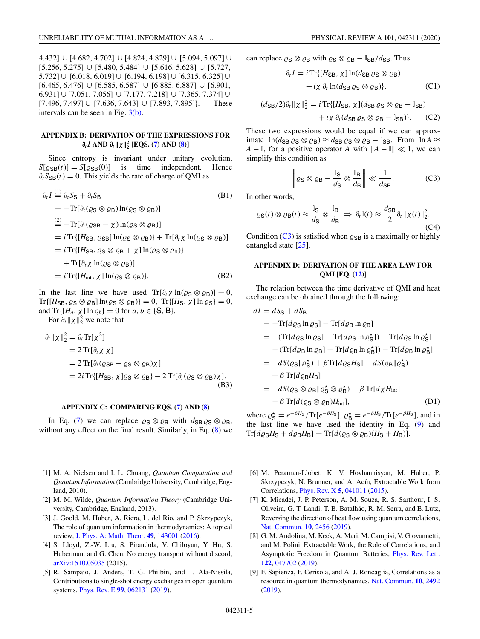<span id="page-5-0"></span>4.432] ∪ [4.682, 4.702] ∪ [4.824, 4.829] ∪ [5.094, 5.097] ∪ [5.256, 5.275] ∪ [5.480, 5.484] ∪ [5.616, 5.628] ∪ [5.727, 5.732] ∪ [6.018, 6.019] ∪ [6.194, 6.198] ∪ [6.315, 6.325] ∪ [6.465, 6.476] ∪ [6.585, 6.587] ∪ [6.885, 6.887] ∪ [6.901, 6.931] ∪ [7.051, 7.056] ∪ [7.177, 7.218] ∪ [7.365, 7.374] ∪ [7.496, 7.497] ∪ [7.636, 7.643] ∪ [7.893, 7.895]}. These intervals can be seen in Fig. [3\(b\).](#page-4-0)

## **APPENDIX B: DERIVATION OF THE EXPRESSIONS FOR** *∂tI* **AND** *∂t***-***χ***-2 <sup>2</sup> [EQS. [\(7\)](#page-3-0) AND [\(8\)](#page-3-0)]**

Since entropy is invariant under unitary evolution,  $S[\varrho_{SB}(t)] = S[\varrho_{SB}(0)]$  is time independent. Hence  $\partial_t S_{SB}(t) = 0$ . This yields the rate of charge of QMI as

$$
\partial_t I \stackrel{(1)}{=} \partial_t S_S + \partial_t S_B \qquad (B1)
$$
\n
$$
= -\text{Tr}[\partial_t (\varrho_S \otimes \varrho_B) \ln(\varrho_S \otimes \varrho_B)]
$$
\n
$$
\stackrel{(2)}{=} -\text{Tr}[\partial_t (\varrho_{SB} - \chi) \ln(\varrho_S \otimes \varrho_B)]
$$
\n
$$
= i \text{Tr}\{[H_{SB}, \varrho_{SB}] \ln(\varrho_S \otimes \varrho_B)\} + \text{Tr}[\partial_t \chi \ln(\varrho_S \otimes \varrho_B)]
$$
\n
$$
= i \text{Tr}\{[H_{SB}, \varrho_S \otimes \varrho_B + \chi] \ln(\varrho_S \otimes \varrho_b)\}
$$
\n
$$
+ \text{Tr}[\partial_t \chi \ln(\varrho_S \otimes \varrho_B)]
$$
\n
$$
= i \text{Tr}\{[H_{int}, \chi] \ln(\varrho_S \otimes \varrho_B)\}. \qquad (B2)
$$

In the last line we have used  $Tr[\partial_t \chi \ln(\varrho_S \otimes \varrho_B)] = 0$ ,  $\text{Tr}\{[H_{\text{SB}}, \varrho_{\text{S}} \otimes \varrho_{\text{B}}] \ln(\varrho_{\text{S}} \otimes \varrho_{\text{B}})\} = 0, \ \text{Tr}\{[H_{\text{S}}, \chi] \ln \varrho_{\text{S}}\} = 0,$ and  $\text{Tr}\{[H_a, \chi] \ln \varrho_b\} = 0$  for  $a, b \in \{\text{S}, \text{B}\}.$ 

For  $\partial_t ||\chi||_2^2$  we note that

$$
\partial_t ||\chi||_2^2 = \partial_t \text{Tr}[\chi^2]
$$
  
=  $2 \text{Tr}[\partial_t \chi \chi]$   
=  $2 \text{Tr}[\partial_t (\varrho_{\text{SB}} - \varrho_{\text{S}} \otimes \varrho_{\text{B}}) \chi]$   
=  $2i \text{Tr}\{[H_{\text{SB}}, \chi] \varrho_{\text{S}} \otimes \varrho_{\text{B}}\} - 2 \text{Tr}[\partial_t (\varrho_{\text{S}} \otimes \varrho_{\text{B}}) \chi].$  (B3)

#### **APPENDIX C: COMPARING EQS. [\(7\)](#page-3-0) AND [\(8\)](#page-3-0)**

In Eq. [\(7\)](#page-3-0) we can replace  $\rho_S \otimes \rho_B$  with  $d_{SB} \rho_S \otimes \rho_B$ , without any effect on the final result. Similarly, in Eq. [\(8\)](#page-3-0) we

- [1] M. A. Nielsen and I. L. Chuang, *Quantum Computation and Quantum Information* (Cambridge University, Cambridge, England, 2010).
- [2] M. M. Wilde, *Quantum Information Theory* (Cambridge University, Cambridge, England, 2013).
- [3] J. Goold, M. Huber, A. Riera, L. del Rio, and P. Skrzypczyk, The role of quantum information in thermodynamics: A topical review, [J. Phys. A: Math. Theor.](https://doi.org/10.1088/1751-8113/49/14/143001) **[49](https://doi.org/10.1088/1751-8113/49/14/143001)**, [143001](https://doi.org/10.1088/1751-8113/49/14/143001) [\(2016\)](https://doi.org/10.1088/1751-8113/49/14/143001).
- [4] S. Lloyd, Z.-W. Liu, S. Pirandola, V. Chiloyan, Y. Hu, S. Huberman, and G. Chen, No energy transport without discord, [arXiv:1510.05035](http://arxiv.org/abs/arXiv:1510.05035) (2015).
- [5] R. Sampaio, J. Anders, T. G. Philbin, and T. Ala-Nissila, Contributions to single-shot energy exchanges in open quantum systems, [Phys. Rev. E](https://doi.org/10.1103/PhysRevE.99.062131) **[99](https://doi.org/10.1103/PhysRevE.99.062131)**, [062131](https://doi.org/10.1103/PhysRevE.99.062131) [\(2019\)](https://doi.org/10.1103/PhysRevE.99.062131).

can replace  $\varrho_S \otimes \varrho_B$  with  $\varrho_S \otimes \varrho_B - \mathbb{I}_{SB}/d_{SB}$ . Thus

$$
\partial_t I = i \operatorname{Tr} \{ [H_{\text{SB}}, \chi] \ln(d_{\text{SB}} \varrho_{\text{S}} \otimes \varrho_{\text{B}}) + i \chi \partial_t \ln(d_{\text{SB}} \varrho_{\text{S}} \otimes \varrho_{\text{B}}) \}, \tag{C1}
$$

$$
(d_{\mathsf{SB}}/2)\partial_t \|\chi\|_2^2 = i \operatorname{Tr}\{[H_{\mathsf{SB}}, \chi](d_{\mathsf{SB}}\varrho_{\mathsf{S}} \otimes \varrho_{\mathsf{B}} - \mathbb{I}_{\mathsf{SB}}) + i\chi \partial_t (d_{\mathsf{SB}}\varrho_{\mathsf{S}} \otimes \varrho_{\mathsf{B}} - \mathbb{I}_{\mathsf{SB}})\}.
$$
 (C2)

These two expressions would be equal if we can approximate  $\ln(d_{SB} \varrho_S \otimes \varrho_B) \approx d_{SB} \varrho_S \otimes \varrho_B - \mathbb{I}_{SB}$ . From  $\ln A \approx$  $A - \mathbb{I}$ , for a positive operator *A* with  $||A - \mathbb{I}|| \ll 1$ , we can simplify this condition as

$$
\left\| \varrho_{\mathsf{S}} \otimes \varrho_{\mathsf{B}} - \frac{\mathbb{I}_{\mathsf{S}}}{d_{\mathsf{S}}} \otimes \frac{\mathbb{I}_{\mathsf{B}}}{d_{\mathsf{B}}} \right\| \ll \frac{1}{d_{\mathsf{S}\mathsf{B}}}.\tag{C3}
$$

In other words,

$$
\varrho_{\mathbf{S}}(t) \otimes \varrho_{\mathbf{B}}(t) \approx \frac{\mathbb{I}_{\mathbf{S}}}{d_{\mathbf{S}}} \otimes \frac{\mathbb{I}_{\mathbf{B}}}{d_{\mathbf{B}}} \Rightarrow \partial_t \mathbb{I}(t) \approx \frac{d_{\mathbf{S}\mathbf{B}}}{2} \partial_t \|\chi(t)\|_2^2.
$$
\n(C4)

Condition (C3) is satisfied when  $\varrho_{SB}$  is a maximally or highly entangled state [\[25\]](#page-6-0).

### **APPENDIX D: DERIVATION OF THE AREA LAW FOR QMI [EQ. [\(12\)](#page-3-0)]**

The relation between the time derivative of QMI and heat exchange can be obtained through the following:

$$
dI = dSS + dSB
$$
  
=  $-Tr[d\varrhoS ln \varrhoS] - Tr[d\varrhoB ln \varrhoB]$   
=  $-(Tr[d\varrhoS ln \varrhoS] - Tr[d\varrhoS ln \varrhoS*]) - Tr[d\varrhoS ln \varrhoS*]–  $(Tr[d\varrhoB ln \varrhoB] - Tr[d\varrhoB ln \varrhoB*]) - Tr[d\varrhoB ln \varrhoB*]=  $-dS(\varrhoS ||\varrhoS*) + \beta Tr[d\varrhoSHS] - dS(\varrhoB ||\varrhoB*)+  $\beta Tr[d\varrhoBHB]$   
=  $-dS(\varrhoS \otimes \varrhoB ||\varrhoS* \otimes \varrhoB*) - \beta Tr[d\chi Hint]-  $\beta Tr[d(\varrhoS \otimes \varrhoB)Hint],$  (D1)$$$$ 

where  $\rho_S^* = e^{-\beta H_S}/\text{Tr}[e^{-\beta H_S}], \rho_B^* = e^{-\beta H_S}/\text{Tr}[e^{-\beta H_B}],$  and in the last line we have used the identity in Eq. [\(9\)](#page-3-0) and  $\text{Tr}[d\varrho_{\rm S}H_{\rm S} + d\varrho_{\rm B}H_{\rm B}] = \text{Tr}[d(\varrho_{\rm S} \otimes \varrho_{\rm B})(H_{\rm S} + H_{\rm B})].$ 

- [6] M. Perarnau-Llobet, K. V. Hovhannisyan, M. Huber, P. Skrzypczyk, N. Brunner, and A. Acín, Extractable Work from Correlations, [Phys. Rev. X](https://doi.org/10.1103/PhysRevX.5.041011) **[5](https://doi.org/10.1103/PhysRevX.5.041011)**, [041011](https://doi.org/10.1103/PhysRevX.5.041011) [\(2015\)](https://doi.org/10.1103/PhysRevX.5.041011).
- [7] K. Micadei, J. P. Peterson, A. M. Souza, R. S. Sarthour, I. S. Oliveira, G. T. Landi, T. B. Batalhão, R. M. Serra, and E. Lutz, Reversing the direction of heat flow using quantum correlations, [Nat. Commun.](https://doi.org/10.1038/s41467-019-10333-7) **[10](https://doi.org/10.1038/s41467-019-10333-7)**, [2456](https://doi.org/10.1038/s41467-019-10333-7) [\(2019\)](https://doi.org/10.1038/s41467-019-10333-7).
- [8] G. M. Andolina, M. Keck, A. Mari, M. Campisi, V. Giovannetti, and M. Polini, Extractable Work, the Role of Correlations, and Asymptotic Freedom in Quantum Batteries, [Phys. Rev. Lett.](https://doi.org/10.1103/PhysRevLett.122.047702) **[122](https://doi.org/10.1103/PhysRevLett.122.047702)**, [047702](https://doi.org/10.1103/PhysRevLett.122.047702) [\(2019\)](https://doi.org/10.1103/PhysRevLett.122.047702).
- [9] F. Sapienza, F. Cerisola, and A. J. Roncaglia, Correlations as a resource in quantum thermodynamics, [Nat. Commun.](https://doi.org/10.1038/s41467-019-10572-8) **[10](https://doi.org/10.1038/s41467-019-10572-8)**, [2492](https://doi.org/10.1038/s41467-019-10572-8) [\(2019\)](https://doi.org/10.1038/s41467-019-10572-8).